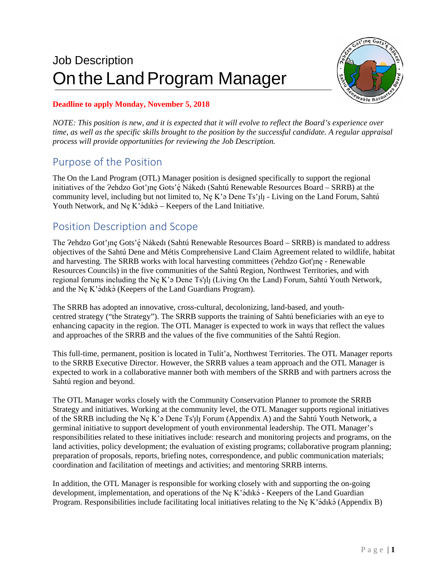# Job Description On the Land Program Manager



### **Deadline to apply Monday, November 5, 2018**

*NOTE: This position is new, and it is expected that it will evolve to reflect the Board's experience over time, as well as the specific skills brought to the position by the successful candidate. A regular appraisal process will provide opportunities for reviewing the Job Description.*

# Purpose of the Position

The On the Land Program (OTL) Manager position is designed specifically to support the regional initiatives of the ?ehdzo Got'ınę Gots'ę́ Nákedı (Sahtú Renewable Resources Board – SRRB) at the community level, including but not limited to, Ne K'a Dene Ts'<sub>1</sub> $\mu$  - Living on the Land Forum, Sahtú Youth Network, and Nę K'ádıká – Keepers of the Land Initiative.

# Position Description and Scope

The ?ehdzo Got'ine Gots' e Nákedi (Sahtú Renewable Resources Board – SRRB) is mandated to address objectives of the Sahtú Dene and Métis Comprehensive Land Claim Agreement related to wildlife, habitat and harvesting. The SRRB works with local harvesting committees ( $2$ ehdzo Got'<sub>l</sub>ne - Renewable Resources Councils) in the five communities of the Sahtú Region, Northwest Territories, and with regional forums including the Ne K'a Dene Ts'<sub>I</sub>l<sub>1</sub> (Living On the Land) Forum, Sahtú Youth Network, and the Ne K'ádıká (Keepers of the Land Guardians Program).

The SRRB has adopted an innovative, cross-cultural, decolonizing, land-based, and youthcentred strategy ("the Strategy"). The SRRB supports the training of Sahtú beneficiaries with an eye to enhancing capacity in the region. The OTL Manager is expected to work in ways that reflect the values and approaches of the SRRB and the values of the five communities of the Sahtú Region.

This full-time, permanent, position is located in Tulít'a, Northwest Territories. The OTL Manager reports to the SRRB Executive Director. However, the SRRB values a team approach and the OTL Manager is expected to work in a collaborative manner both with members of the SRRB and with partners across the Sahtú region and beyond.

The OTL Manager works closely with the Community Conservation Planner to promote the SRRB Strategy and initiatives. Working at the community level, the OTL Manager supports regional initiatives of the SRRB including the Ne K'a Dene Ts'<sub>1</sub>l<sub>1</sub> Forum (Appendix A) and the Sahtú Youth Network, a germinal initiative to support development of youth environmental leadership. The OTL Manager's responsibilities related to these initiatives include: research and monitoring projects and programs, on the land activities, policy development; the evaluation of existing programs; collaborative program planning; preparation of proposals, reports, briefing notes, correspondence, and public communication materials; coordination and facilitation of meetings and activities; and mentoring SRRB interns.

In addition, the OTL Manager is responsible for working closely with and supporting the on-going development, implementation, and operations of the Nę K'ǝ́dıkǝ́ - Keepers of the Land Guardian Program. Responsibilities include facilitating local initiatives relating to the Nę K'ә́dıkә́ (Appendix B)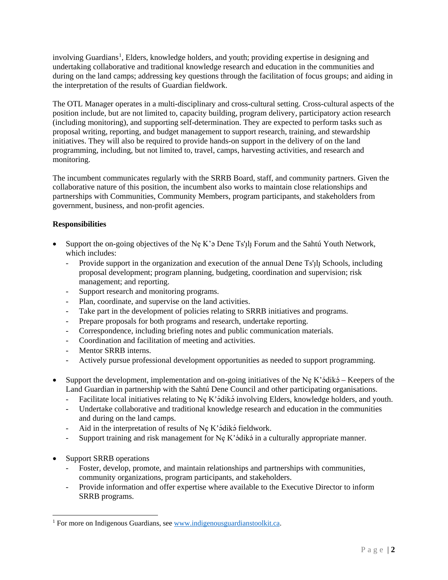involving Guardians<sup>[1](#page-1-0)</sup>, Elders, knowledge holders, and youth; providing expertise in designing and undertaking collaborative and traditional knowledge research and education in the communities and during on the land camps; addressing key questions through the facilitation of focus groups; and aiding in the interpretation of the results of Guardian fieldwork.

The OTL Manager operates in a multi-disciplinary and cross-cultural setting. Cross-cultural aspects of the position include, but are not limited to, capacity building, program delivery, participatory action research (including monitoring), and supporting self-determination. They are expected to perform tasks such as proposal writing, reporting, and budget management to support research, training, and stewardship initiatives. They will also be required to provide hands-on support in the delivery of on the land programming, including, but not limited to, travel, camps, harvesting activities, and research and monitoring.

The incumbent communicates regularly with the SRRB Board, staff, and community partners. Given the collaborative nature of this position, the incumbent also works to maintain close relationships and partnerships with Communities, Community Members, program participants, and stakeholders from government, business, and non-profit agencies.

### **Responsibilities**

- Support the on-going objectives of the Ne K'a Dene Ts'<sub>1</sub> $\parallel$  Forum and the Sahtú Youth Network, which includes:
	- Provide support in the organization and execution of the annual Dene Ts'<sub>Ill</sub> Schools, including proposal development; program planning, budgeting, coordination and supervision; risk management; and reporting.
	- Support research and monitoring programs.
	- Plan, coordinate, and supervise on the land activities.
	- Take part in the development of policies relating to SRRB initiatives and programs.
	- Prepare proposals for both programs and research, undertake reporting.
	- Correspondence, including briefing notes and public communication materials.
	- Coordination and facilitation of meeting and activities.
	- Mentor SRRB interns.
	- Actively pursue professional development opportunities as needed to support programming.
- Support the development, implementation and on-going initiatives of the Nę K'ádiká Keepers of the Land Guardian in partnership with the Sahtú Dene Council and other participating organisations.
	- Facilitate local initiatives relating to Nę K'ádiká involving Elders, knowledge holders, and youth.
	- Undertake collaborative and traditional knowledge research and education in the communities and during on the land camps.
	- Aid in the interpretation of results of Nę K'ádiká fieldwork.
	- Support training and risk management for Nę K'ádiká in a culturally appropriate manner.
- Support SRRB operations
	- Foster, develop, promote, and maintain relationships and partnerships with communities, community organizations, program participants, and stakeholders.
	- Provide information and offer expertise where available to the Executive Director to inform SRRB programs.

<span id="page-1-0"></span><sup>&</sup>lt;sup>1</sup> For more on Indigenous Guardians, see www.indigenousguardianstoolkit.ca.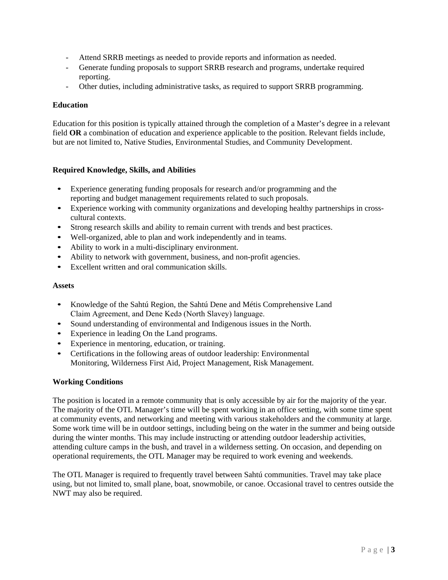- Attend SRRB meetings as needed to provide reports and information as needed.
- Generate funding proposals to support SRRB research and programs, undertake required reporting.
- Other duties, including administrative tasks, as required to support SRRB programming.

#### **Education**

Education for this position is typically attained through the completion of a Master's degree in a relevant field **OR** a combination of education and experience applicable to the position. Relevant fields include, but are not limited to, Native Studies, Environmental Studies, and Community Development.

### **Required Knowledge, Skills, and Abilities**

- Experience generating funding proposals for research and/or programming and the reporting and budget management requirements related to such proposals.
- Experience working with community organizations and developing healthy partnerships in crosscultural contexts.
- Strong research skills and ability to remain current with trends and best practices.
- Well-organized, able to plan and work independently and in teams.
- Ability to work in a multi-disciplinary environment.
- Ability to network with government, business, and non-profit agencies.
- Excellent written and oral communication skills.

#### **Assets**

- Knowledge of the Sahtú Region, the Sahtú Dene and Métis Comprehensive Land Claim Agreement, and Dene Kedǝ (North Slavey) language.
- Sound understanding of environmental and Indigenous issues in the North.
- Experience in leading On the Land programs.
- Experience in mentoring, education, or training.
- Certifications in the following areas of outdoor leadership: Environmental Monitoring, Wilderness First Aid, Project Management, Risk Management.

#### **Working Conditions**

The position is located in a remote community that is only accessible by air for the majority of the year. The majority of the OTL Manager's time will be spent working in an office setting, with some time spent at community events, and networking and meeting with various stakeholders and the community at large. Some work time will be in outdoor settings, including being on the water in the summer and being outside during the winter months. This may include instructing or attending outdoor leadership activities, attending culture camps in the bush, and travel in a wilderness setting. On occasion, and depending on operational requirements, the OTL Manager may be required to work evening and weekends.

The OTL Manager is required to frequently travel between Sahtú communities. Travel may take place using, but not limited to, small plane, boat, snowmobile, or canoe. Occasional travel to centres outside the NWT may also be required.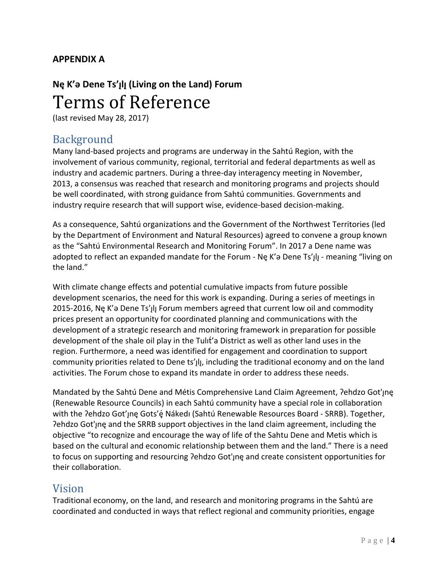### **APPENDIX A**

# **Nę K'ǝ Dene Ts'ılı̨ (Living on the Land) Forum ̨** Terms of Reference

(last revised May 28, 2017)

# Background

Many land-based projects and programs are underway in the Sahtú Region, with the involvement of various community, regional, territorial and federal departments as well as industry and academic partners. During a three-day interagency meeting in November, 2013, a consensus was reached that research and monitoring programs and projects should be well coordinated, with strong guidance from Sahtú communities. Governments and industry require research that will support wise, evidence-based decision-making.

As a consequence, Sahtú organizations and the Government of the Northwest Territories (led by the Department of Environment and Natural Resources) agreed to convene a group known as the "Sahtú Environmental Research and Monitoring Forum". In 2017 a Dene name was adopted to reflect an expanded mandate for the Forum - Ne K'a Dene Ts'<sub>Ill</sub> - meaning "living on the land."

With climate change effects and potential cumulative impacts from future possible development scenarios, the need for this work is expanding. During a series of meetings in 2015-2016, Ne K'a Dene Ts'<sub>I</sub>l, Forum members agreed that current low oil and commodity prices present an opportunity for coordinated planning and communications with the development of a strategic research and monitoring framework in preparation for possible development of the shale oil play in the Tulit'a District as well as other land uses in the region. Furthermore, a need was identified for engagement and coordination to support community priorities related to Dene ts'<sub>Il,</sub> including the traditional economy and on the land activities. The Forum chose to expand its mandate in order to address these needs.

Mandated by the Sahtú Dene and Métis Comprehensive Land Claim Agreement, ?ehdzo Got'ıne (Renewable Resource Councils) in each Sahtú community have a special role in collaboration with the ?ehdzo Got'ıne Gots'e Nakedı (Sahtu Renewable Resources Board - SRRB). Together, Pehdzo Got'jne and the SRRB support objectives in the land claim agreement, including the objective "to recognize and encourage the way of life of the Sahtu Dene and Metis which is based on the cultural and economic relationship between them and the land." There is a need to focus on supporting and resourcing ?ehdzo Got'ıne and create consistent opportunities for their collaboration.

# Vision

Traditional economy, on the land, and research and monitoring programs in the Sahtú are coordinated and conducted in ways that reflect regional and community priorities, engage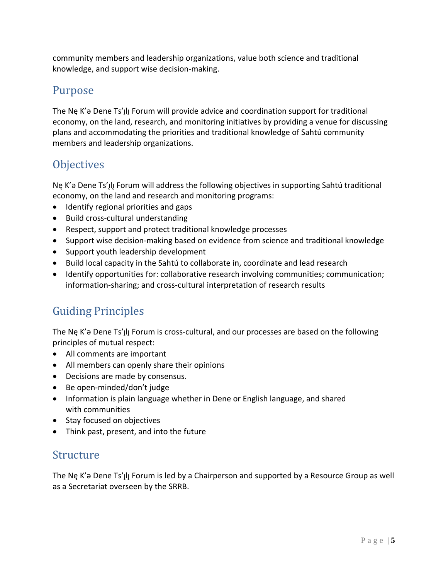community members and leadership organizations, value both science and traditional knowledge, and support wise decision-making.

# Purpose

The Ne K'a Dene Ts'<sub>I</sub>II Forum will provide advice and coordination support for traditional economy, on the land, research, and monitoring initiatives by providing a venue for discussing plans and accommodating the priorities and traditional knowledge of Sahtú community members and leadership organizations.

# **Objectives**

Ne K'a Dene Ts'<sub>I</sub>II Forum will address the following objectives in supporting Sahtú traditional economy, on the land and research and monitoring programs:

- Identify regional priorities and gaps
- Build cross-cultural understanding
- Respect, support and protect traditional knowledge processes
- Support wise decision-making based on evidence from science and traditional knowledge
- Support youth leadership development
- Build local capacity in the Sahtú to collaborate in, coordinate and lead research
- Identify opportunities for: collaborative research involving communities; communication; information-sharing; and cross-cultural interpretation of research results

# Guiding Principles

The Ne K'a Dene Ts'<sub>l</sub>l<sub>l</sub> Forum is cross-cultural, and our processes are based on the following principles of mutual respect:

- All comments are important
- All members can openly share their opinions
- Decisions are made by consensus.
- Be open-minded/don't judge
- Information is plain language whether in Dene or English language, and shared with communities
- Stay focused on objectives
- Think past, present, and into the future

# Structure

The Ne K'a Dene Ts'ılı Forum is led by a Chairperson and supported by a Resource Group as well as a Secretariat overseen by the SRRB.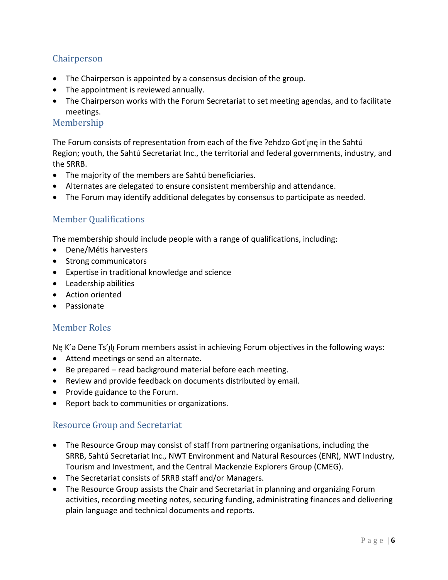### Chairperson

- The Chairperson is appointed by a consensus decision of the group.
- The appointment is reviewed annually.
- The Chairperson works with the Forum Secretariat to set meeting agendas, and to facilitate meetings.

### Membership

The Forum consists of representation from each of the five ?ehdzo Got'ıne in the Sahtú Region; youth, the Sahtú Secretariat Inc., the territorial and federal governments, industry, and the SRRB.

- The majority of the members are Sahtú beneficiaries.
- Alternates are delegated to ensure consistent membership and attendance.
- The Forum may identify additional delegates by consensus to participate as needed.

### Member Qualifications

The membership should include people with a range of qualifications, including:

- Dene/Métis harvesters
- Strong communicators
- Expertise in traditional knowledge and science
- Leadership abilities
- Action oriented
- Passionate

### Member Roles

Ne K'a Dene Ts'<sub>l</sub>l Forum members assist in achieving Forum objectives in the following ways:

- Attend meetings or send an alternate.
- Be prepared read background material before each meeting.
- Review and provide feedback on documents distributed by email.
- Provide guidance to the Forum.
- Report back to communities or organizations.

### Resource Group and Secretariat

- The Resource Group may consist of staff from partnering organisations, including the SRRB, Sahtú Secretariat Inc., NWT Environment and Natural Resources (ENR), NWT Industry, Tourism and Investment, and the Central Mackenzie Explorers Group (CMEG).
- The Secretariat consists of SRRB staff and/or Managers.
- The Resource Group assists the Chair and Secretariat in planning and organizing Forum activities, recording meeting notes, securing funding, administrating finances and delivering plain language and technical documents and reports.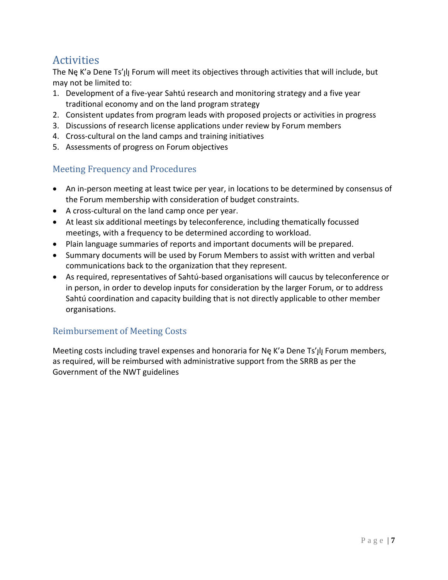# **Activities**

The Ne K'a Dene Ts'<sub>I</sub>II Forum will meet its objectives through activities that will include, but may not be limited to:

- 1. Development of a five-year Sahtú research and monitoring strategy and a five year traditional economy and on the land program strategy
- 2. Consistent updates from program leads with proposed projects or activities in progress
- 3. Discussions of research license applications under review by Forum members
- 4. Cross-cultural on the land camps and training initiatives
- 5. Assessments of progress on Forum objectives

### Meeting Frequency and Procedures

- An in-person meeting at least twice per year, in locations to be determined by consensus of the Forum membership with consideration of budget constraints.
- A cross-cultural on the land camp once per year.
- At least six additional meetings by teleconference, including thematically focussed meetings, with a frequency to be determined according to workload.
- Plain language summaries of reports and important documents will be prepared.
- Summary documents will be used by Forum Members to assist with written and verbal communications back to the organization that they represent.
- As required, representatives of Sahtú-based organisations will caucus by teleconference or in person, in order to develop inputs for consideration by the larger Forum, or to address Sahtú coordination and capacity building that is not directly applicable to other member organisations.

### Reimbursement of Meeting Costs

Meeting costs including travel expenses and honoraria for Ne K'a Dene Ts'ılı Forum members, as required, will be reimbursed with administrative support from the SRRB as per the Government of the NWT guidelines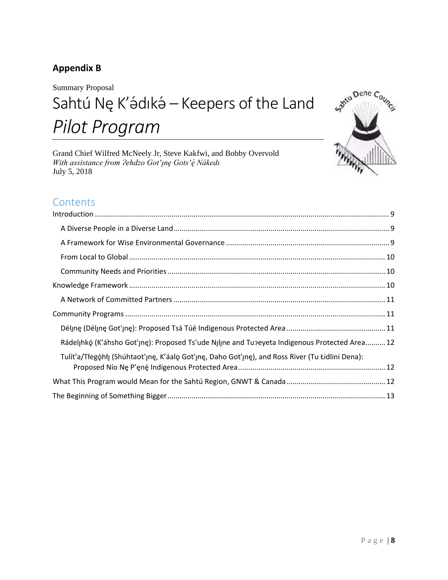## **Appendix B**

Summary Proposal Sahtú Nę K'ádıká – Keepers of the Land *Pilot Program*

Grand Chief Wilfred McNeely Jr, Steve Kakfwi, and Bobby Overvold *With assistance from Ɂehdzo Got'ı̨ nę Gots'ę́ Nákedı* July 5, 2018



# **Contents**

| Rádelįhkó (K'áhsho Got'ıne): Proposed Ts'ude Nılıne and Tu>eyeta Indigenous Protected Area 12    |
|--------------------------------------------------------------------------------------------------|
| Tulít'a/Tłegóhłı (Shúhtaot'ıne, K'áalo Got'ıne, Daho Got'ıne), and Ross River (Tu Łidlini Dena): |
|                                                                                                  |
|                                                                                                  |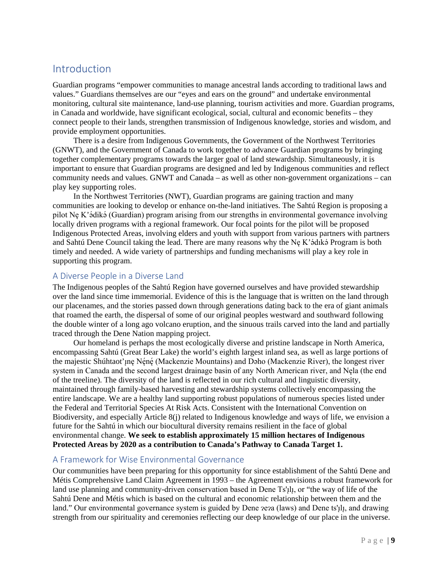## <span id="page-8-0"></span>Introduction

Guardian programs "empower communities to manage ancestral lands according to traditional laws and values." Guardians themselves are our "eyes and ears on the ground" and undertake environmental monitoring, cultural site maintenance, land-use planning, tourism activities and more. Guardian programs, in Canada and worldwide, have significant ecological, social, cultural and economic benefits – they connect people to their lands, strengthen transmission of Indigenous knowledge, stories and wisdom, and provide employment opportunities.

There is a desire from Indigenous Governments, the Government of the Northwest Territories (GNWT), and the Government of Canada to work together to advance Guardian programs by bringing together complementary programs towards the larger goal of land stewardship. Simultaneously, it is important to ensure that Guardian programs are designed and led by Indigenous communities and reflect community needs and values. GNWT and Canada – as well as other non-government organizations – can play key supporting roles.

In the Northwest Territories (NWT), Guardian programs are gaining traction and many communities are looking to develop or enhance on-the-land initiatives. The Sahtú Region is proposing a pilot Nę K'ádiká (Guardian) program arising from our strengths in environmental governance involving locally driven programs with a regional framework. Our focal points for the pilot will be proposed Indigenous Protected Areas, involving elders and youth with support from various partners with partners and Sahtú Dene Council taking the lead. There are many reasons why the Nę K'ádıká Program is both timely and needed. A wide variety of partnerships and funding mechanisms will play a key role in supporting this program.

### <span id="page-8-1"></span>A Diverse People in a Diverse Land

The Indigenous peoples of the Sahtú Region have governed ourselves and have provided stewardship over the land since time immemorial. Evidence of this is the language that is written on the land through our placenames, and the stories passed down through generations dating back to the era of giant animals that roamed the earth, the dispersal of some of our original peoples westward and southward following the double winter of a long ago volcano eruption, and the sinuous trails carved into the land and partially traced through the Dene Nation mapping project.

Our homeland is perhaps the most ecologically diverse and pristine landscape in North America, encompassing Sahtú (Great Bear Lake) the world's eighth largest inland sea, as well as large portions of the majestic Shúhtaot'µnę Nę́nę́ (Mackenzie Mountains) and Dəho (Mackenzie River), the longest river system in Canada and the second largest drainage basin of any North American river, and Nęla (the end of the treeline). The diversity of the land is reflected in our rich cultural and linguistic diversity, maintained through family-based harvesting and stewardship systems collectively encompassing the entire landscape. We are a healthy land supporting robust populations of numerous species listed under the Federal and Territorial Species At Risk Acts. Consistent with the International Convention on Biodiversity, and especially Article 8(j) related to Indigenous knowledge and ways of life, we envision a future for the Sahtú in which our biocultural diversity remains resilient in the face of global environmental change. **We seek to establish approximately 15 million hectares of Indigenous Protected Areas by 2020 as a contribution to Canada's Pathway to Canada Target 1.**

### <span id="page-8-2"></span>A Framework for Wise Environmental Governance

Our communities have been preparing for this opportunity for since establishment of the Sahtú Dene and Métis Comprehensive Land Claim Agreement in 1993 – the Agreement envisions a robust framework for land use planning and community-driven conservation based in Dene Ts'<sub>1</sub>l<sub>1</sub>, or "the way of life of the Sahtú Dene and Métis which is based on the cultural and economic relationship between them and the land." Our environmental governance system is guided by Dene  $\alpha$  (laws) and Dene ts'<sub>1</sub>l<sub>1</sub>, and drawing strength from our spirituality and ceremonies reflecting our deep knowledge of our place in the universe.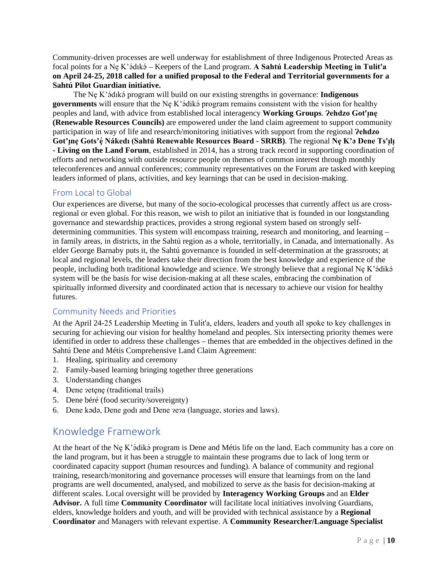Community-driven processes are well underway for establishment of three Indigenous Protected Areas as focal points for a Nę K'ǝ́ dıkǝ́ – Keepers of the Land program. **A Sahtú Leadership Meeting in Tulı́ t'a on April 24-25, 2018 called for a unified proposal to the Federal and Territorial governments for a Sahtú Pilot Guardian initiative.** 

The Nę K'ádıká program will build on our existing strengths in governance: Indigenous **governments** will ensure that the Nę K'ǝdikǝ́ program remains consistent with the vision for healthy peoples and land, with advice from established local interagency **Working Groups**. **Ɂehdzo Got'ı̨ nę (Renewable Resources Councils)** are empowered under the land claim agreement to support community participation in way of life and research/monitoring initiatives with support from the regional **?ehdzo Got'ı̨ nę Gots'ę́ Nákedı (Sahtú Renewable Resources Board - SRRB)**. The regional **Nę K'ǝ Dene Ts'ı̨ lı̨ - Living on the Land Forum**, established in 2014, has a strong track record in supporting coordination of efforts and networking with outside resource people on themes of common interest through monthly teleconferences and annual conferences; community representatives on the Forum are tasked with keeping leaders informed of plans, activities, and key learnings that can be used in decision-making.

#### <span id="page-9-0"></span>From Local to Global

Our experiences are diverse, but many of the socio-ecological processes that currently affect us are crossregional or even global. For this reason, we wish to pilot an initiative that is founded in our longstanding governance and stewardship practices, provides a strong regional system based on strongly selfdetermining communities. This system will encompass training, research and monitoring, and learning – in family areas, in districts, in the Sahtú region as a whole, territorially, in Canada, and internationally. As elder George Barnaby puts it, the Sahtú governance is founded in self-determination at the grassroots; at local and regional levels, the leaders take their direction from the best knowledge and experience of the people, including both traditional knowledge and science. We strongly believe that a regional Ne K'ǝ́dikǝ́ system will be the basis for wise decision-making at all these scales, embracing the combination of spiritually informed diversity and coordinated action that is necessary to achieve our vision for healthy futures.

#### <span id="page-9-1"></span>Community Needs and Priorities

At the April 24-25 Leadership Meeting in Tulít'a, elders, leaders and youth all spoke to key challenges in securing for achieving our vision for healthy homeland and peoples. Six intersecting priority themes were identified in order to address these challenges – themes that are embedded in the objectives defined in the Sahtú Dene and Métis Comprehensive Land Claim Agreement:

- 1. Healing, spirituality and ceremony
- 2. Family-based learning bringing together three generations
- 3. Understanding changes
- 4. Dene zetene (traditional trails)
- 5. Dene béré (food security/sovereignty)
- 6. Dene kǝdǝ, Dene godı and Dene ɂeɂa (language, stories and laws).

### <span id="page-9-2"></span>Knowledge Framework

At the heart of the Ne K'ádiká program is Dene and Métis life on the land. Each community has a core on the land program, but it has been a struggle to maintain these programs due to lack of long term or coordinated capacity support (human resources and funding). A balance of community and regional training, research/monitoring and governance processes will ensure that learnings from on the land programs are well documented, analysed, and mobilized to serve as the basis for decision-making at different scales. Local oversight will be provided by **Interagency Working Groups** and an **Elder Advisor.** A full time **Community Coordinator** will facilitate local initiatives involving Guardians, elders, knowledge holders and youth, and will be provided with technical assistance by a **Regional Coordinator** and Managers with relevant expertise. A **Community Researcher/Language Specialist**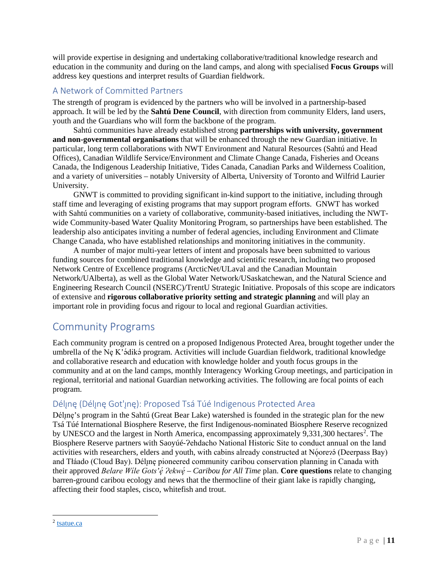will provide expertise in designing and undertaking collaborative/traditional knowledge research and education in the community and during on the land camps, and along with specialised **Focus Groups** will address key questions and interpret results of Guardian fieldwork.

### <span id="page-10-0"></span>A Network of Committed Partners

The strength of program is evidenced by the partners who will be involved in a partnership-based approach. It will be led by the **Sahtú Dene Council**, with direction from community Elders, land users, youth and the Guardians who will form the backbone of the program.

Sahtú communities have already established strong **partnerships with university, government and non-governmental organisations** that will be enhanced through the new Guardian initiative. In particular, long term collaborations with NWT Environment and Natural Resources (Sahtú and Head Offices), Canadian Wildlife Service/Environment and Climate Change Canada, Fisheries and Oceans Canada, the Indigenous Leadership Initiative, Tides Canada, Canadian Parks and Wilderness Coalition, and a variety of universities – notably University of Alberta, University of Toronto and Wilfrid Laurier University.

GNWT is committed to providing significant in-kind support to the initiative, including through staff time and leveraging of existing programs that may support program efforts. GNWT has worked with Sahtú communities on a variety of collaborative, community-based initiatives, including the NWTwide Community-based Water Quality Monitoring Program, so partnerships have been established. The leadership also anticipates inviting a number of federal agencies, including Environment and Climate Change Canada, who have established relationships and monitoring initiatives in the community.

A number of major multi-year letters of intent and proposals have been submitted to various funding sources for combined traditional knowledge and scientific research, including two proposed Network Centre of Excellence programs (ArcticNet/ULaval and the Canadian Mountain Network/UAlberta), as well as the Global Water Network/USaskatchewan, and the Natural Science and Engineering Research Council (NSERC)/TrentU Strategic Initiative. Proposals of this scope are indicators of extensive and **rigorous collaborative priority setting and strategic planning** and will play an important role in providing focus and rigour to local and regional Guardian activities.

# <span id="page-10-1"></span>Community Programs

Each community program is centred on a proposed Indigenous Protected Area, brought together under the umbrella of the Nę K'ádiká program. Activities will include Guardian fieldwork, traditional knowledge and collaborative research and education with knowledge holder and youth focus groups in the community and at on the land camps, monthly Interagency Working Group meetings, and participation in regional, territorial and national Guardian networking activities. The following are focal points of each program.

### <span id="page-10-2"></span>Déline (Déline Got'ine): Proposed Tsá Túé Indigenous Protected Area

Déline's program in the Sahtú (Great Bear Lake) watershed is founded in the strategic plan for the new Tsá Túé International Biosphere Reserve, the first Indigenous-nominated Biosphere Reserve recognized by UNESCO and the largest in North America, encompassing approximately  $9,331,300$  hectares<sup>[2](#page-10-3)</sup>. The Biosphere Reserve partners with Saoyúé-?ehdacho National Historic Site to conduct annual on the land activities with researchers, elders and youth, with cabins already constructed at Nǫ́ore? (Deerpass Bay) and Tłáado (Cloud Bay). Déline pioneered community caribou conservation planning in Canada with their approved *Belare Wile Gots'ę́ ?ekwę́ – Caribou for All Time plan. Core questions relate to changing* barren-ground caribou ecology and news that the thermocline of their giant lake is rapidly changing, affecting their food staples, cisco, whitefish and trout.

<span id="page-10-3"></span> <sup>2</sup> [tsatue.ca](http://www.tsatue.ca/)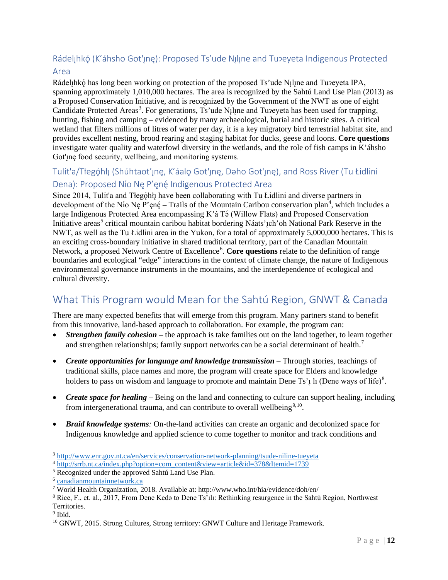# <span id="page-11-0"></span>Rádelįhkó (K'áhsho Got'įnę): Proposed Ts'ude Nįlįne and Tu?eyeta Indigenous Protected

### Area

Rádelįhkǫ́ has long been working on protection of the proposed Ts'ude Nįlįne and Tuʔeyeta IPA, spanning approximately 1,010,000 hectares. The area is recognized by the Sahtú Land Use Plan (2013) as a Proposed Conservation Initiative, and is recognized by the Government of the NWT as one of eight Candidate Protected Areas<sup>[3](#page-11-3)</sup>. For generations, Ts'ude N<sub>1</sub>l<sub>l</sub>ne and Tuzeyeta has been used for trapping, hunting, fishing and camping – evidenced by many archaeological, burial and historic sites. A critical wetland that filters millions of litres of water per day, it is a key migratory bird terrestrial habitat site, and provides excellent nesting, brood rearing and staging habitat for ducks, geese and loons. **Core questions**  investigate water quality and waterfowl diversity in the wetlands, and the role of fish camps in K'áhsho Got'ing food security, wellbeing, and monitoring systems.

## <span id="page-11-1"></span>Tulít'a/Tłegóhłı (Shúhtaot'ıne, K'áalo Got'ıne, Daho Got'ıne), and Ross River (Tu Łidlini Dena): Proposed Nío Nę P'ęnę Indigenous Protected Area

Since 2014, Tulít'a and Tłególh have been collaborating with Tu Łidlini and diverse partners in development of the Nío Nę P'enę́ – Trails of the Mountain Caribou conservation plan<sup>[4](#page-11-4)</sup>, which includes a large Indigenous Protected Area encompassing K'á Tǝ́ (Willow Flats) and Proposed Conservation Initiative areas<sup>[5](#page-11-5)</sup> critical mountain caribou habitat bordering Náats'<sub>1</sub>ch'oh National Park Reserve in the NWT, as well as the Tu Łidlini area in the Yukon, for a total of approximately 5,000,000 hectares. This is an exciting cross-boundary initiative in shared traditional territory, part of the Canadian Mountain Network, a proposed Network Centre of Excellence<sup>[6](#page-11-6)</sup>. Core questions relate to the definition of range boundaries and ecological "edge" interactions in the context of climate change, the nature of Indigenous environmental governance instruments in the mountains, and the interdependence of ecological and cultural diversity.

# <span id="page-11-2"></span>What This Program would Mean for the Sahtú Region, GNWT & Canada

There are many expected benefits that will emerge from this program. Many partners stand to benefit from this innovative, land-based approach to collaboration. For example, the program can:

- *Strengthen family cohesion* the approach is take families out on the land together, to learn together and strengthen relationships; family support networks can be a social determinant of health.<sup>[7](#page-11-7)</sup>
- *Create opportunities for language and knowledge transmission* Through stories, teachings of traditional skills, place names and more, the program will create space for Elders and knowledge holders to pass on wisdom and language to promote and maintain Dene Ts'<sub>l</sub> li (Dene ways of life)<sup>[8](#page-11-8)</sup>.
- *Create space for healing* Being on the land and connecting to culture can support healing, including from intergenerational trauma, and can contribute to overall wellbeing<sup>[9](#page-11-9),10</sup>.
- *Braid knowledge systems:* On-the-land activities can create an organic and decolonized space for Indigenous knowledge and applied science to come together to monitor and track conditions and

<span id="page-11-9"></span><sup>9</sup> Ibid.

<span id="page-11-3"></span> <sup>3</sup> <http://www.enr.gov.nt.ca/en/services/conservation-network-planning/tsude-niline-tueyeta>

<span id="page-11-4"></span><sup>4</sup> [http://srrb.nt.ca/index.php?option=com\\_content&view=article&id=378&Itemid=1739](http://srrb.nt.ca/index.php?option=com_content&view=article&id=378&Itemid=1739)

<span id="page-11-5"></span><sup>5</sup> Recognized under the approved Sahtú Land Use Plan.

<span id="page-11-6"></span><sup>6</sup> [canadianmountainnetwork.ca](http://canadianmountainnetwork.ca/)

<span id="page-11-7"></span><sup>7</sup> World Health Organization, 2018. Available at: http://www.who.int/hia/evidence/doh/en/

<span id="page-11-8"></span> $8$  Rice, F., et. al., 2017, From Dene Keda to Dene Ts'ılı: Rethinking resurgence in the Sahtú Region, Northwest Territories.

<span id="page-11-10"></span><sup>&</sup>lt;sup>10</sup> GNWT, 2015. Strong Cultures, Strong territory: GNWT Culture and Heritage Framework.